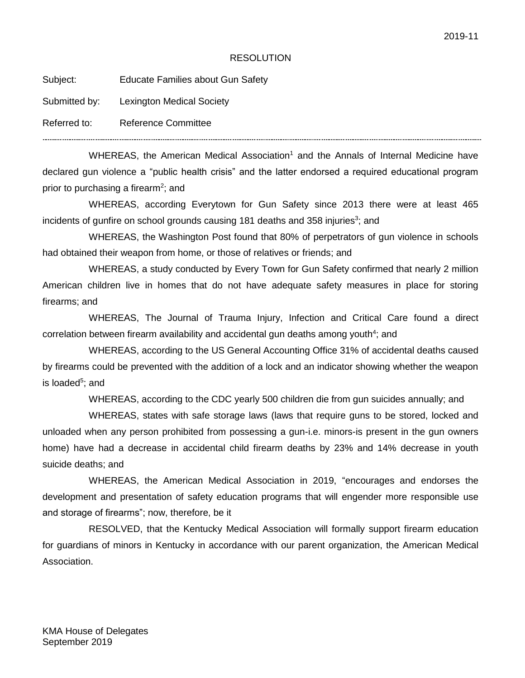## **RESOLUTION**

Subject: Educate Families about Gun Safety

Submitted by: Lexington Medical Society

Referred to: Reference Committee

...........................

WHEREAS, the American Medical Association<sup>1</sup> and the Annals of Internal Medicine have declared gun violence a "public health crisis" and the latter endorsed a required educational program prior to purchasing a firearm<sup>2</sup>; and

WHEREAS, according Everytown for Gun Safety since 2013 there were at least 465 incidents of gunfire on school grounds causing 181 deaths and 358 injuries<sup>3</sup>; and

WHEREAS, the Washington Post found that 80% of perpetrators of gun violence in schools had obtained their weapon from home, or those of relatives or friends; and

WHEREAS, a study conducted by Every Town for Gun Safety confirmed that nearly 2 million American children live in homes that do not have adequate safety measures in place for storing firearms; and

WHEREAS, The Journal of Trauma Injury, Infection and Critical Care found a direct correlation between firearm availability and accidental gun deaths among youth<sup>4</sup>; and

WHEREAS, according to the US General Accounting Office 31% of accidental deaths caused by firearms could be prevented with the addition of a lock and an indicator showing whether the weapon is loaded<sup>5</sup>; and

WHEREAS, according to the CDC yearly 500 children die from gun suicides annually; and

WHEREAS, states with safe storage laws (laws that require guns to be stored, locked and unloaded when any person prohibited from possessing a gun-i.e. minors-is present in the gun owners home) have had a decrease in accidental child firearm deaths by 23% and 14% decrease in youth suicide deaths; and

WHEREAS, the American Medical Association in 2019, "encourages and endorses the development and presentation of safety education programs that will engender more responsible use and storage of firearms"; now, therefore, be it

RESOLVED, that the Kentucky Medical Association will formally support firearm education for guardians of minors in Kentucky in accordance with our parent organization, the American Medical Association.